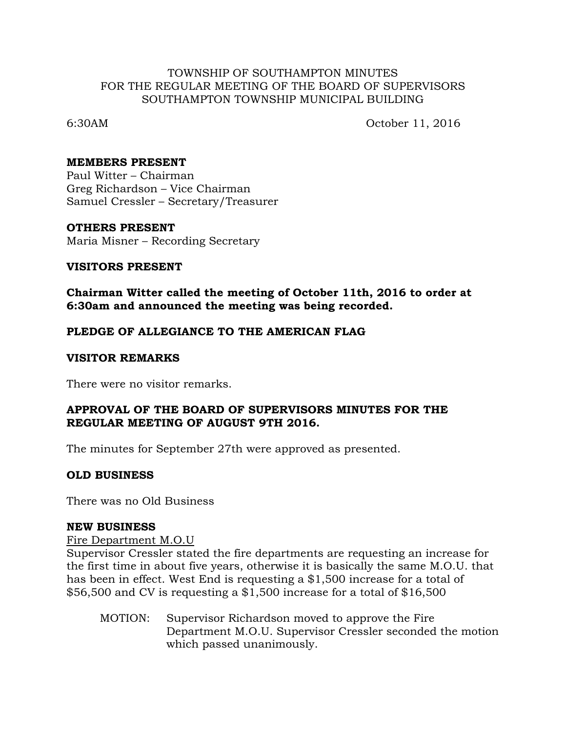## TOWNSHIP OF SOUTHAMPTON MINUTES FOR THE REGULAR MEETING OF THE BOARD OF SUPERVISORS SOUTHAMPTON TOWNSHIP MUNICIPAL BUILDING

6:30AM October 11, 2016

## **MEMBERS PRESENT**

Paul Witter – Chairman Greg Richardson – Vice Chairman Samuel Cressler – Secretary/Treasurer

## **OTHERS PRESENT**

Maria Misner – Recording Secretary

## **VISITORS PRESENT**

**Chairman Witter called the meeting of October 11th, 2016 to order at 6:30am and announced the meeting was being recorded.**

## **PLEDGE OF ALLEGIANCE TO THE AMERICAN FLAG**

## **VISITOR REMARKS**

There were no visitor remarks.

## **APPROVAL OF THE BOARD OF SUPERVISORS MINUTES FOR THE REGULAR MEETING OF AUGUST 9TH 2016.**

The minutes for September 27th were approved as presented.

## **OLD BUSINESS**

There was no Old Business

## **NEW BUSINESS**

## Fire Department M.O.U

Supervisor Cressler stated the fire departments are requesting an increase for the first time in about five years, otherwise it is basically the same M.O.U. that has been in effect. West End is requesting a \$1,500 increase for a total of \$56,500 and CV is requesting a \$1,500 increase for a total of \$16,500

MOTION: Supervisor Richardson moved to approve the Fire Department M.O.U. Supervisor Cressler seconded the motion which passed unanimously.